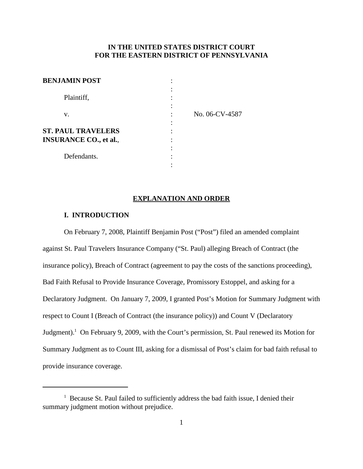## **IN THE UNITED STATES DISTRICT COURT FOR THE EASTERN DISTRICT OF PENNSYLVANIA**

| <b>BENJAMIN POST</b>                                       | ٠              |
|------------------------------------------------------------|----------------|
| Plaintiff,                                                 |                |
| V.                                                         | No. 06-CV-4587 |
| <b>ST. PAUL TRAVELERS</b><br><b>INSURANCE CO., et al.,</b> |                |
| Defendants.                                                | ٠              |

#### **EXPLANATION AND ORDER**

## **I. INTRODUCTION**

On February 7, 2008, Plaintiff Benjamin Post ("Post") filed an amended complaint against St. Paul Travelers Insurance Company ("St. Paul) alleging Breach of Contract (the insurance policy), Breach of Contract (agreement to pay the costs of the sanctions proceeding), Bad Faith Refusal to Provide Insurance Coverage, Promissory Estoppel, and asking for a Declaratory Judgment. On January 7, 2009, I granted Post's Motion for Summary Judgment with respect to Count I (Breach of Contract (the insurance policy)) and Count V (Declaratory Judgment).<sup>1</sup> On February 9, 2009, with the Court's permission, St. Paul renewed its Motion for Summary Judgment as to Count III, asking for a dismissal of Post's claim for bad faith refusal to provide insurance coverage.

 $1$  Because St. Paul failed to sufficiently address the bad faith issue, I denied their summary judgment motion without prejudice.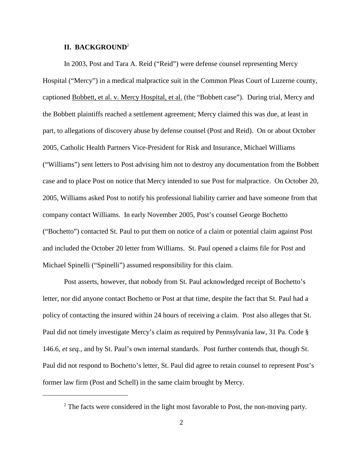#### **II. BACKGROUND**<sup>2</sup>

In 2003, Post and Tara A. Reid ("Reid") were defense counsel representing Mercy Hospital ("Mercy") in a medical malpractice suit in the Common Pleas Court of Luzerne county, captioned Bobbett, et al. v. Mercy Hospital, et al. (the "Bobbett case"). During trial, Mercy and the Bobbett plaintiffs reached a settlement agreement; Mercy claimed this was due, at least in part, to allegations of discovery abuse by defense counsel (Post and Reid). On or about October 2005, Catholic Health Partners Vice-President for Risk and Insurance, Michael Williams ("Williams") sent letters to Post advising him not to destroy any documentation from the Bobbett case and to place Post on notice that Mercy intended to sue Post for malpractice. On October 20, 2005, Williams asked Post to notify his professional liability carrier and have someone from that company contact Williams. In early November 2005, Post's counsel George Bochetto ("Bochetto") contacted St. Paul to put them on notice of a claim or potential claim against Post and included the October 20 letter from Williams. St. Paul opened a claims file for Post and Michael Spinelli ("Spinelli") assumed responsibility for this claim.

Post asserts, however, that nobody from St. Paul acknowledged receipt of Bochetto's letter, nor did anyone contact Bochetto or Post at that time, despite the fact that St. Paul had a policy of contacting the insured within 24 hours of receiving a claim. Post also alleges that St. Paul did not timely investigate Mercy's claim as required by Pennsylvania law, 31 Pa. Code § 146.6, *et seq.*, and by St. Paul's own internal standards. Post further contends that, though St. Paul did not respond to Bochetto's letter, St. Paul did agree to retain counsel to represent Post's former law firm (Post and Schell) in the same claim brought by Mercy.

 $2$  The facts were considered in the light most favorable to Post, the non-moving party.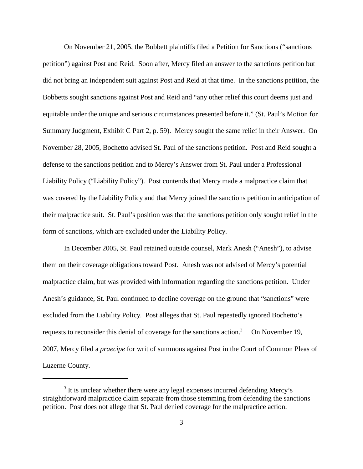On November 21, 2005, the Bobbett plaintiffs filed a Petition for Sanctions ("sanctions petition") against Post and Reid. Soon after, Mercy filed an answer to the sanctions petition but did not bring an independent suit against Post and Reid at that time. In the sanctions petition, the Bobbetts sought sanctions against Post and Reid and "any other relief this court deems just and equitable under the unique and serious circumstances presented before it." (St. Paul's Motion for Summary Judgment, Exhibit C Part 2, p. 59). Mercy sought the same relief in their Answer. On November 28, 2005, Bochetto advised St. Paul of the sanctions petition. Post and Reid sought a defense to the sanctions petition and to Mercy's Answer from St. Paul under a Professional Liability Policy ("Liability Policy"). Post contends that Mercy made a malpractice claim that was covered by the Liability Policy and that Mercy joined the sanctions petition in anticipation of their malpractice suit. St. Paul's position was that the sanctions petition only sought relief in the form of sanctions, which are excluded under the Liability Policy.

In December 2005, St. Paul retained outside counsel, Mark Anesh ("Anesh"), to advise them on their coverage obligations toward Post. Anesh was not advised of Mercy's potential malpractice claim, but was provided with information regarding the sanctions petition. Under Anesh's guidance, St. Paul continued to decline coverage on the ground that "sanctions" were excluded from the Liability Policy. Post alleges that St. Paul repeatedly ignored Bochetto's requests to reconsider this denial of coverage for the sanctions action. On November 19, 2007, Mercy filed a *praecipe* for writ of summons against Post in the Court of Common Pleas of Luzerne County.

<sup>&</sup>lt;sup>3</sup> It is unclear whether there were any legal expenses incurred defending Mercy's straightforward malpractice claim separate from those stemming from defending the sanctions petition. Post does not allege that St. Paul denied coverage for the malpractice action.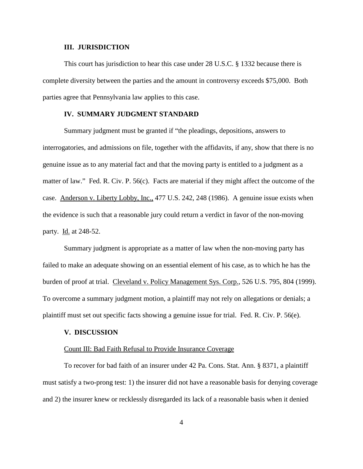#### **III. JURISDICTION**

This court has jurisdiction to hear this case under 28 U.S.C. § 1332 because there is complete diversity between the parties and the amount in controversy exceeds \$75,000. Both parties agree that Pennsylvania law applies to this case.

#### **IV. SUMMARY JUDGMENT STANDARD**

Summary judgment must be granted if "the pleadings, depositions, answers to interrogatories, and admissions on file, together with the affidavits, if any, show that there is no genuine issue as to any material fact and that the moving party is entitled to a judgment as a matter of law." Fed. R. Civ. P. 56(c). Facts are material if they might affect the outcome of the case. Anderson v. Liberty Lobby, Inc., 477 U.S. 242, 248 (1986). A genuine issue exists when the evidence is such that a reasonable jury could return a verdict in favor of the non-moving party. Id. at 248-52.

Summary judgment is appropriate as a matter of law when the non-moving party has failed to make an adequate showing on an essential element of his case, as to which he has the burden of proof at trial. Cleveland v. Policy Management Sys. Corp., 526 U.S. 795, 804 (1999). To overcome a summary judgment motion, a plaintiff may not rely on allegations or denials; a plaintiff must set out specific facts showing a genuine issue for trial. Fed. R. Civ. P. 56(e).

### **V. DISCUSSION**

#### Count III: Bad Faith Refusal to Provide Insurance Coverage

To recover for bad faith of an insurer under 42 Pa. Cons. Stat. Ann. § 8371, a plaintiff must satisfy a two-prong test: 1) the insurer did not have a reasonable basis for denying coverage and 2) the insurer knew or recklessly disregarded its lack of a reasonable basis when it denied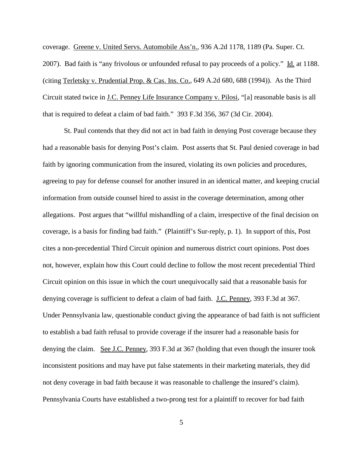coverage. Greene v. United Servs. Automobile Ass'n., 936 A.2d 1178, 1189 (Pa. Super. Ct. 2007). Bad faith is "any frivolous or unfounded refusal to pay proceeds of a policy." Id. at 1188. (citing Terletsky v. Prudential Prop. & Cas. Ins. Co., 649 A.2d 680, 688 (1994)). As the Third Circuit stated twice in J.C. Penney Life Insurance Company v. Pilosi, "[a] reasonable basis is all that is required to defeat a claim of bad faith." 393 F.3d 356, 367 (3d Cir. 2004).

St. Paul contends that they did not act in bad faith in denying Post coverage because they had a reasonable basis for denying Post's claim. Post asserts that St. Paul denied coverage in bad faith by ignoring communication from the insured, violating its own policies and procedures, agreeing to pay for defense counsel for another insured in an identical matter, and keeping crucial information from outside counsel hired to assist in the coverage determination, among other allegations. Post argues that "willful mishandling of a claim, irrespective of the final decision on coverage, is a basis for finding bad faith." (Plaintiff's Sur-reply, p. 1). In support of this, Post cites a non-precedential Third Circuit opinion and numerous district court opinions. Post does not, however, explain how this Court could decline to follow the most recent precedential Third Circuit opinion on this issue in which the court unequivocally said that a reasonable basis for denying coverage is sufficient to defeat a claim of bad faith. J.C. Penney, 393 F.3d at 367. Under Pennsylvania law, questionable conduct giving the appearance of bad faith is not sufficient to establish a bad faith refusal to provide coverage if the insurer had a reasonable basis for denying the claim. See J.C. Penney, 393 F.3d at 367 (holding that even though the insurer took inconsistent positions and may have put false statements in their marketing materials, they did not deny coverage in bad faith because it was reasonable to challenge the insured's claim). Pennsylvania Courts have established a two-prong test for a plaintiff to recover for bad faith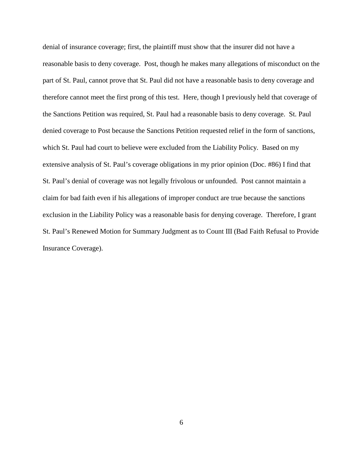denial of insurance coverage; first, the plaintiff must show that the insurer did not have a reasonable basis to deny coverage. Post, though he makes many allegations of misconduct on the part of St. Paul, cannot prove that St. Paul did not have a reasonable basis to deny coverage and therefore cannot meet the first prong of this test. Here, though I previously held that coverage of the Sanctions Petition was required, St. Paul had a reasonable basis to deny coverage. St. Paul denied coverage to Post because the Sanctions Petition requested relief in the form of sanctions, which St. Paul had court to believe were excluded from the Liability Policy. Based on my extensive analysis of St. Paul's coverage obligations in my prior opinion (Doc. #86) I find that St. Paul's denial of coverage was not legally frivolous or unfounded. Post cannot maintain a claim for bad faith even if his allegations of improper conduct are true because the sanctions exclusion in the Liability Policy was a reasonable basis for denying coverage. Therefore, I grant St. Paul's Renewed Motion for Summary Judgment as to Count III (Bad Faith Refusal to Provide Insurance Coverage).